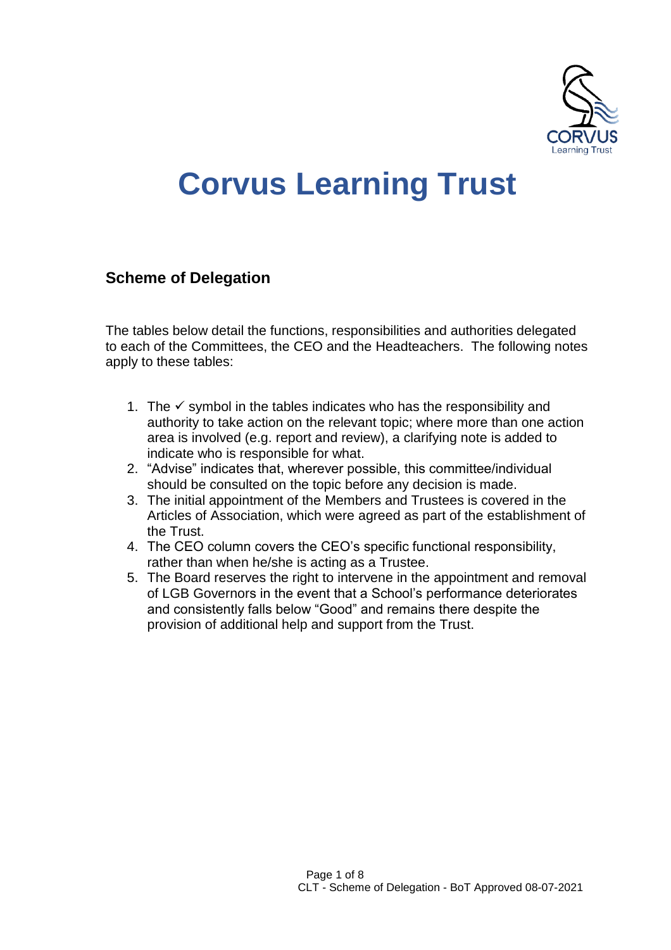

## **Corvus Learning Trust**

## **Scheme of Delegation**

The tables below detail the functions, responsibilities and authorities delegated to each of the Committees, the CEO and the Headteachers. The following notes apply to these tables:

- 1. The  $\checkmark$  symbol in the tables indicates who has the responsibility and authority to take action on the relevant topic; where more than one action area is involved (e.g. report and review), a clarifying note is added to indicate who is responsible for what.
- 2. "Advise" indicates that, wherever possible, this committee/individual should be consulted on the topic before any decision is made.
- 3. The initial appointment of the Members and Trustees is covered in the Articles of Association, which were agreed as part of the establishment of the Trust.
- 4. The CEO column covers the CEO's specific functional responsibility, rather than when he/she is acting as a Trustee.
- 5. The Board reserves the right to intervene in the appointment and removal of LGB Governors in the event that a School's performance deteriorates and consistently falls below "Good" and remains there despite the provision of additional help and support from the Trust.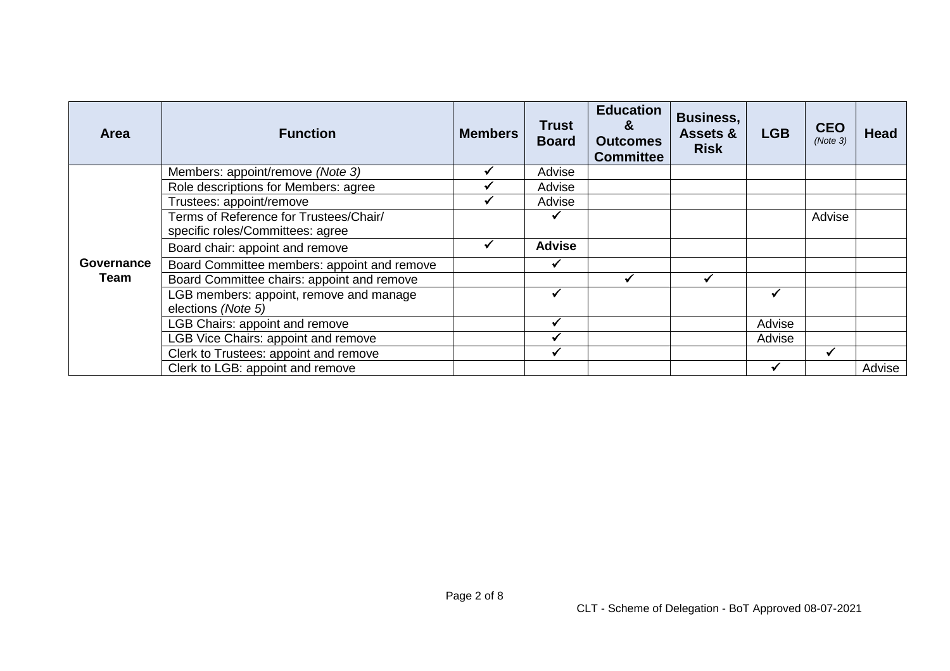| <b>Area</b> | <b>Function</b>                                                            | <b>Members</b> | <b>Trust</b><br><b>Board</b> | <b>Education</b><br>&<br><b>Outcomes</b><br><b>Committee</b> | <b>Business,</b><br><b>Assets &amp;</b><br><b>Risk</b> | <b>LGB</b> | <b>CEO</b><br>(Note 3) | <b>Head</b> |
|-------------|----------------------------------------------------------------------------|----------------|------------------------------|--------------------------------------------------------------|--------------------------------------------------------|------------|------------------------|-------------|
|             | Members: appoint/remove (Note 3)                                           |                | Advise                       |                                                              |                                                        |            |                        |             |
|             | Role descriptions for Members: agree                                       |                | Advise                       |                                                              |                                                        |            |                        |             |
|             | Trustees: appoint/remove                                                   |                | Advise                       |                                                              |                                                        |            |                        |             |
|             | Terms of Reference for Trustees/Chair/<br>specific roles/Committees: agree |                |                              |                                                              |                                                        |            | Advise                 |             |
|             | Board chair: appoint and remove                                            |                | <b>Advise</b>                |                                                              |                                                        |            |                        |             |
| Governance  | Board Committee members: appoint and remove                                |                |                              |                                                              |                                                        |            |                        |             |
| Team        | Board Committee chairs: appoint and remove                                 |                |                              |                                                              |                                                        |            |                        |             |
|             | LGB members: appoint, remove and manage<br>elections (Note 5)              |                |                              |                                                              |                                                        |            |                        |             |
|             | <b>LGB Chairs: appoint and remove</b>                                      |                | $\checkmark$                 |                                                              |                                                        | Advise     |                        |             |
|             | <b>LGB Vice Chairs: appoint and remove</b>                                 |                |                              |                                                              |                                                        | Advise     |                        |             |
|             | Clerk to Trustees: appoint and remove                                      |                |                              |                                                              |                                                        |            |                        |             |
|             | Clerk to LGB: appoint and remove                                           |                |                              |                                                              |                                                        |            |                        | Advise      |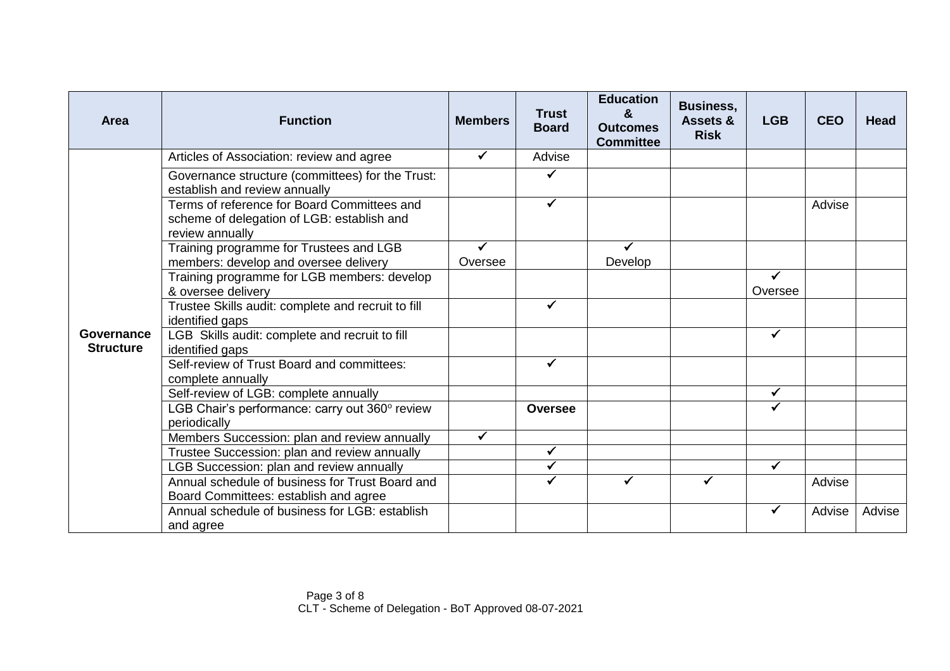| <b>Area</b>                    | <b>Function</b>                                                                                              | <b>Members</b> | <b>Trust</b><br><b>Board</b> | <b>Education</b><br>&<br><b>Outcomes</b><br><b>Committee</b> | <b>Business,</b><br>Assets &<br><b>Risk</b> | <b>LGB</b>   | <b>CEO</b> | <b>Head</b> |
|--------------------------------|--------------------------------------------------------------------------------------------------------------|----------------|------------------------------|--------------------------------------------------------------|---------------------------------------------|--------------|------------|-------------|
|                                | Articles of Association: review and agree                                                                    | ✓              | Advise                       |                                                              |                                             |              |            |             |
|                                | Governance structure (committees) for the Trust:<br>establish and review annually                            |                |                              |                                                              |                                             |              |            |             |
|                                | Terms of reference for Board Committees and<br>scheme of delegation of LGB: establish and<br>review annually |                |                              |                                                              |                                             |              | Advise     |             |
|                                | Training programme for Trustees and LGB<br>members: develop and oversee delivery                             | ✔<br>Oversee   |                              | ✓<br>Develop                                                 |                                             |              |            |             |
|                                | Training programme for LGB members: develop<br>& oversee delivery                                            |                |                              |                                                              |                                             | Oversee      |            |             |
|                                | Trustee Skills audit: complete and recruit to fill<br>identified gaps                                        |                | ✓                            |                                                              |                                             |              |            |             |
| Governance<br><b>Structure</b> | LGB Skills audit: complete and recruit to fill<br>identified gaps                                            |                |                              |                                                              |                                             | ✓            |            |             |
|                                | Self-review of Trust Board and committees:<br>complete annually                                              |                | ✓                            |                                                              |                                             |              |            |             |
|                                | Self-review of LGB: complete annually                                                                        |                |                              |                                                              |                                             | $\checkmark$ |            |             |
|                                | LGB Chair's performance: carry out 360° review<br>periodically                                               |                | <b>Oversee</b>               |                                                              |                                             |              |            |             |
|                                | Members Succession: plan and review annually                                                                 | ✓              |                              |                                                              |                                             |              |            |             |
|                                | Trustee Succession: plan and review annually                                                                 |                | $\checkmark$                 |                                                              |                                             |              |            |             |
|                                | LGB Succession: plan and review annually                                                                     |                |                              |                                                              |                                             |              |            |             |
|                                | Annual schedule of business for Trust Board and<br>Board Committees: establish and agree                     |                |                              |                                                              |                                             |              | Advise     |             |
|                                | Annual schedule of business for LGB: establish<br>and agree                                                  |                |                              |                                                              |                                             |              | Advise     | Advise      |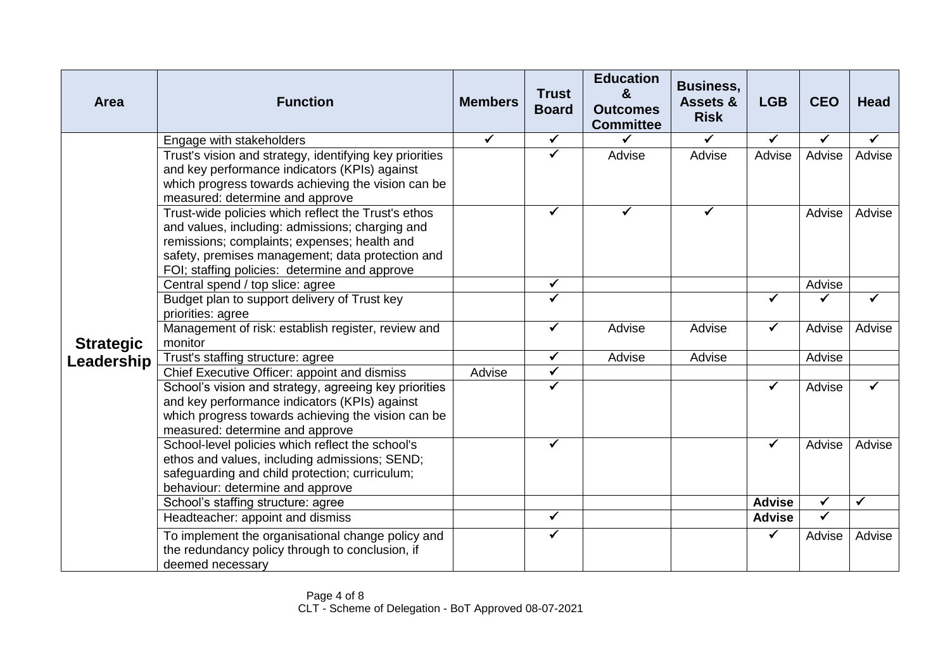| Area             | <b>Function</b>                                                                                                                                                                                                                                             | <b>Members</b> | <b>Trust</b><br><b>Board</b> | <b>Education</b><br>&<br><b>Outcomes</b><br><b>Committee</b> | <b>Business,</b><br>Assets &<br><b>Risk</b> | <b>LGB</b>    | <b>CEO</b>   | <b>Head</b>  |
|------------------|-------------------------------------------------------------------------------------------------------------------------------------------------------------------------------------------------------------------------------------------------------------|----------------|------------------------------|--------------------------------------------------------------|---------------------------------------------|---------------|--------------|--------------|
|                  | Engage with stakeholders                                                                                                                                                                                                                                    | ✓              | $\checkmark$                 | ✓                                                            | ✓                                           | ✔             | ✓            | ✔            |
|                  | Trust's vision and strategy, identifying key priorities<br>and key performance indicators (KPIs) against<br>which progress towards achieving the vision can be<br>measured: determine and approve                                                           |                | $\checkmark$                 | Advise                                                       | Advise                                      | Advise        | Advise       | Advise       |
|                  | Trust-wide policies which reflect the Trust's ethos<br>and values, including: admissions; charging and<br>remissions; complaints; expenses; health and<br>safety, premises management; data protection and<br>FOI; staffing policies: determine and approve |                | $\checkmark$                 | ✔                                                            | ✔                                           |               | Advise       | Advise       |
|                  | Central spend / top slice: agree                                                                                                                                                                                                                            |                | $\checkmark$                 |                                                              |                                             |               | Advise       |              |
|                  | Budget plan to support delivery of Trust key<br>priorities: agree                                                                                                                                                                                           |                | ✔                            |                                                              |                                             | ✓             |              |              |
| <b>Strategic</b> | Management of risk: establish register, review and<br>monitor                                                                                                                                                                                               |                | $\checkmark$                 | Advise                                                       | Advise                                      | $\checkmark$  | Advise       | Advise       |
| Leadership       | Trust's staffing structure: agree                                                                                                                                                                                                                           |                | $\checkmark$                 | Advise                                                       | Advise                                      |               | Advise       |              |
|                  | Chief Executive Officer: appoint and dismiss                                                                                                                                                                                                                | Advise         | $\overline{\checkmark}$      |                                                              |                                             |               |              |              |
|                  | School's vision and strategy, agreeing key priorities<br>and key performance indicators (KPIs) against<br>which progress towards achieving the vision can be<br>measured: determine and approve                                                             |                | $\checkmark$                 |                                                              |                                             |               | Advise       |              |
|                  | School-level policies which reflect the school's<br>ethos and values, including admissions; SEND;<br>safeguarding and child protection; curriculum;<br>behaviour: determine and approve                                                                     |                | $\checkmark$                 |                                                              |                                             | $\checkmark$  | Advise       | Advise       |
|                  | School's staffing structure: agree                                                                                                                                                                                                                          |                |                              |                                                              |                                             | <b>Advise</b> | $\checkmark$ | $\checkmark$ |
|                  | Headteacher: appoint and dismiss                                                                                                                                                                                                                            |                | $\overline{\checkmark}$      |                                                              |                                             | <b>Advise</b> | $\checkmark$ |              |
|                  | To implement the organisational change policy and<br>the redundancy policy through to conclusion, if<br>deemed necessary                                                                                                                                    |                | $\checkmark$                 |                                                              |                                             | ✓             | Advise       | Advise       |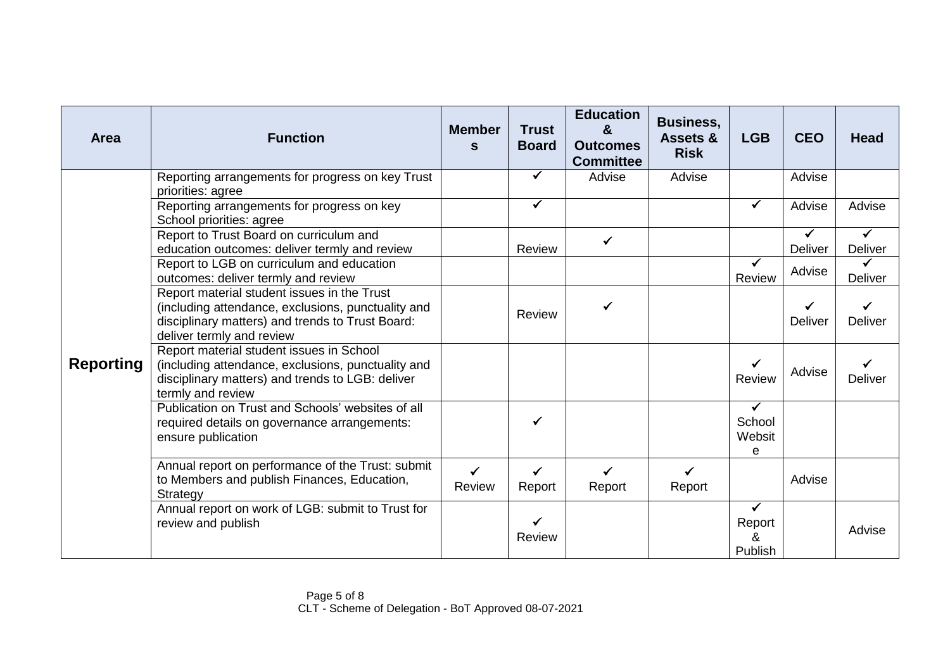| Area             | <b>Function</b>                                                                                                                                                                    | <b>Member</b><br>S     | <b>Trust</b><br><b>Board</b>  | <b>Education</b><br>$\mathbf{g}$<br><b>Outcomes</b><br><b>Committee</b> | <b>Business,</b><br><b>Assets &amp;</b><br><b>Risk</b> | <b>LGB</b>                             | <b>CEO</b>          | <b>Head</b>    |
|------------------|------------------------------------------------------------------------------------------------------------------------------------------------------------------------------------|------------------------|-------------------------------|-------------------------------------------------------------------------|--------------------------------------------------------|----------------------------------------|---------------------|----------------|
|                  | Reporting arrangements for progress on key Trust<br>priorities: agree                                                                                                              |                        | $\checkmark$                  | Advise                                                                  | Advise                                                 |                                        | Advise              |                |
|                  | Reporting arrangements for progress on key<br>School priorities: agree                                                                                                             |                        | $\checkmark$                  |                                                                         |                                                        | $\checkmark$                           | Advise              | Advise         |
| <b>Reporting</b> | Report to Trust Board on curriculum and<br>education outcomes: deliver termly and review                                                                                           |                        | Review                        | $\checkmark$                                                            |                                                        |                                        | ✔<br><b>Deliver</b> | Deliver        |
|                  | Report to LGB on curriculum and education<br>outcomes: deliver termly and review                                                                                                   |                        |                               |                                                                         |                                                        | Review                                 | Advise              | Deliver        |
|                  | Report material student issues in the Trust<br>(including attendance, exclusions, punctuality and<br>disciplinary matters) and trends to Trust Board:<br>deliver termly and review |                        | Review                        | ✔                                                                       |                                                        |                                        | Deliver             | <b>Deliver</b> |
|                  | Report material student issues in School<br>(including attendance, exclusions, punctuality and<br>disciplinary matters) and trends to LGB: deliver<br>termly and review            |                        |                               |                                                                         |                                                        | $\checkmark$<br><b>Review</b>          | Advise              | <b>Deliver</b> |
|                  | Publication on Trust and Schools' websites of all<br>required details on governance arrangements:<br>ensure publication                                                            |                        | ✓                             |                                                                         |                                                        | $\checkmark$<br>School<br>Websit<br>e  |                     |                |
|                  | Annual report on performance of the Trust: submit<br>to Members and publish Finances, Education,<br>Strategy                                                                       | $\checkmark$<br>Review | $\checkmark$<br>Report        | $\checkmark$<br>Report                                                  | ✔<br>Report                                            |                                        | Advise              |                |
|                  | Annual report on work of LGB: submit to Trust for<br>review and publish                                                                                                            |                        | $\checkmark$<br><b>Review</b> |                                                                         |                                                        | $\checkmark$<br>Report<br>&<br>Publish |                     | Advise         |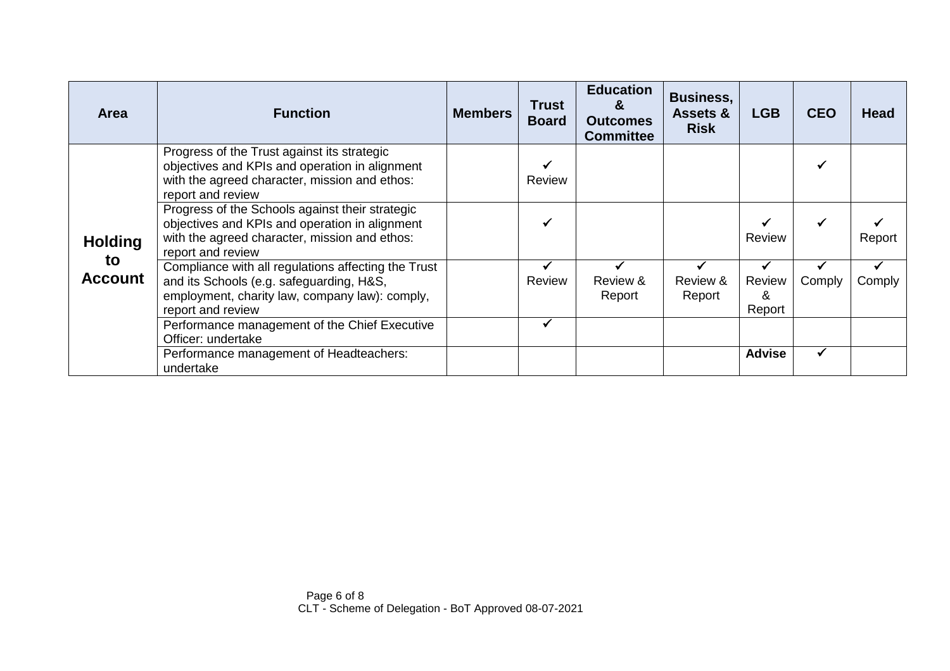| <b>Area</b>                            | <b>Function</b>                                                                                                                                                         | <b>Members</b> | <b>Trust</b><br><b>Board</b> | <b>Education</b><br>&<br><b>Outcomes</b><br><b>Committee</b> | <b>Business,</b><br><b>Assets &amp;</b><br><b>Risk</b> | <b>LGB</b>            | <b>CEO</b> | <b>Head</b> |
|----------------------------------------|-------------------------------------------------------------------------------------------------------------------------------------------------------------------------|----------------|------------------------------|--------------------------------------------------------------|--------------------------------------------------------|-----------------------|------------|-------------|
| <b>Holding</b><br>to<br><b>Account</b> | Progress of the Trust against its strategic<br>objectives and KPIs and operation in alignment<br>with the agreed character, mission and ethos:<br>report and review     |                | Review                       |                                                              |                                                        |                       |            |             |
|                                        | Progress of the Schools against their strategic<br>objectives and KPIs and operation in alignment<br>with the agreed character, mission and ethos:<br>report and review |                | V                            |                                                              |                                                        | Review                |            | Report      |
|                                        | Compliance with all regulations affecting the Trust<br>and its Schools (e.g. safeguarding, H&S,<br>employment, charity law, company law): comply,<br>report and review  |                | Review                       | Review &<br>Report                                           | Review &<br>Report                                     | Review<br>&<br>Report | Comply     | Comply      |
|                                        | Performance management of the Chief Executive<br>Officer: undertake                                                                                                     |                | ✔                            |                                                              |                                                        |                       |            |             |
|                                        | Performance management of Headteachers:<br>undertake                                                                                                                    |                |                              |                                                              |                                                        | <b>Advise</b>         |            |             |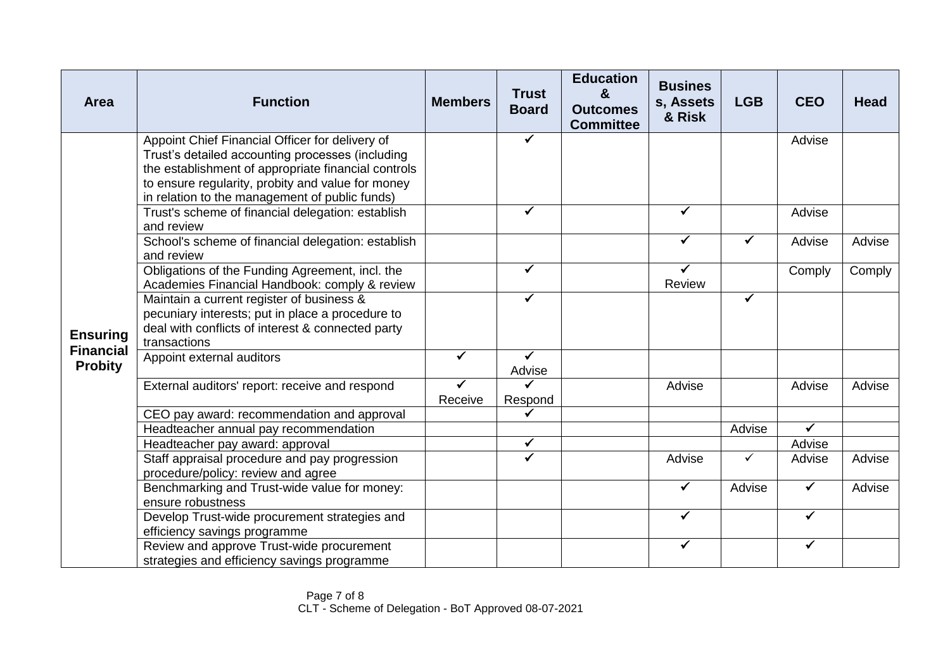| Area                               | <b>Function</b>                                                                                                                                                                                                                                                   | <b>Members</b> | <b>Trust</b><br><b>Board</b> | <b>Education</b><br>&<br><b>Outcomes</b><br><b>Committee</b> | <b>Busines</b><br>s, Assets<br>& Risk | <b>LGB</b> | <b>CEO</b>   | <b>Head</b> |
|------------------------------------|-------------------------------------------------------------------------------------------------------------------------------------------------------------------------------------------------------------------------------------------------------------------|----------------|------------------------------|--------------------------------------------------------------|---------------------------------------|------------|--------------|-------------|
|                                    | Appoint Chief Financial Officer for delivery of<br>Trust's detailed accounting processes (including<br>the establishment of appropriate financial controls<br>to ensure regularity, probity and value for money<br>in relation to the management of public funds) |                | $\checkmark$                 |                                                              |                                       |            | Advise       |             |
|                                    | Trust's scheme of financial delegation: establish<br>and review                                                                                                                                                                                                   |                | $\checkmark$                 |                                                              | ✓                                     |            | Advise       |             |
|                                    | School's scheme of financial delegation: establish<br>and review                                                                                                                                                                                                  |                |                              |                                                              | $\checkmark$                          | ✓          | Advise       | Advise      |
| <b>Ensuring</b>                    | Obligations of the Funding Agreement, incl. the<br>Academies Financial Handbook: comply & review                                                                                                                                                                  |                | $\checkmark$                 |                                                              | ✔<br>Review                           |            | Comply       | Comply      |
|                                    | Maintain a current register of business &<br>pecuniary interests; put in place a procedure to<br>deal with conflicts of interest & connected party<br>transactions                                                                                                |                | $\checkmark$                 |                                                              |                                       | ✓          |              |             |
| <b>Financial</b><br><b>Probity</b> | Appoint external auditors                                                                                                                                                                                                                                         | ✓              | $\checkmark$<br>Advise       |                                                              |                                       |            |              |             |
|                                    | External auditors' report: receive and respond                                                                                                                                                                                                                    | ✔<br>Receive   | $\checkmark$<br>Respond      |                                                              | Advise                                |            | Advise       | Advise      |
|                                    | CEO pay award: recommendation and approval                                                                                                                                                                                                                        |                | $\checkmark$                 |                                                              |                                       |            |              |             |
|                                    | Headteacher annual pay recommendation                                                                                                                                                                                                                             |                |                              |                                                              |                                       | Advise     | $\checkmark$ |             |
|                                    | Headteacher pay award: approval                                                                                                                                                                                                                                   |                | $\checkmark$                 |                                                              |                                       |            | Advise       |             |
|                                    | Staff appraisal procedure and pay progression<br>procedure/policy: review and agree                                                                                                                                                                               |                | ✓                            |                                                              | Advise                                | ✓          | Advise       | Advise      |
|                                    | Benchmarking and Trust-wide value for money:<br>ensure robustness                                                                                                                                                                                                 |                |                              |                                                              | $\checkmark$                          | Advise     | $\checkmark$ | Advise      |
|                                    | Develop Trust-wide procurement strategies and<br>efficiency savings programme                                                                                                                                                                                     |                |                              |                                                              | ✔                                     |            | $\checkmark$ |             |
|                                    | Review and approve Trust-wide procurement<br>strategies and efficiency savings programme                                                                                                                                                                          |                |                              |                                                              | ✓                                     |            | $\checkmark$ |             |